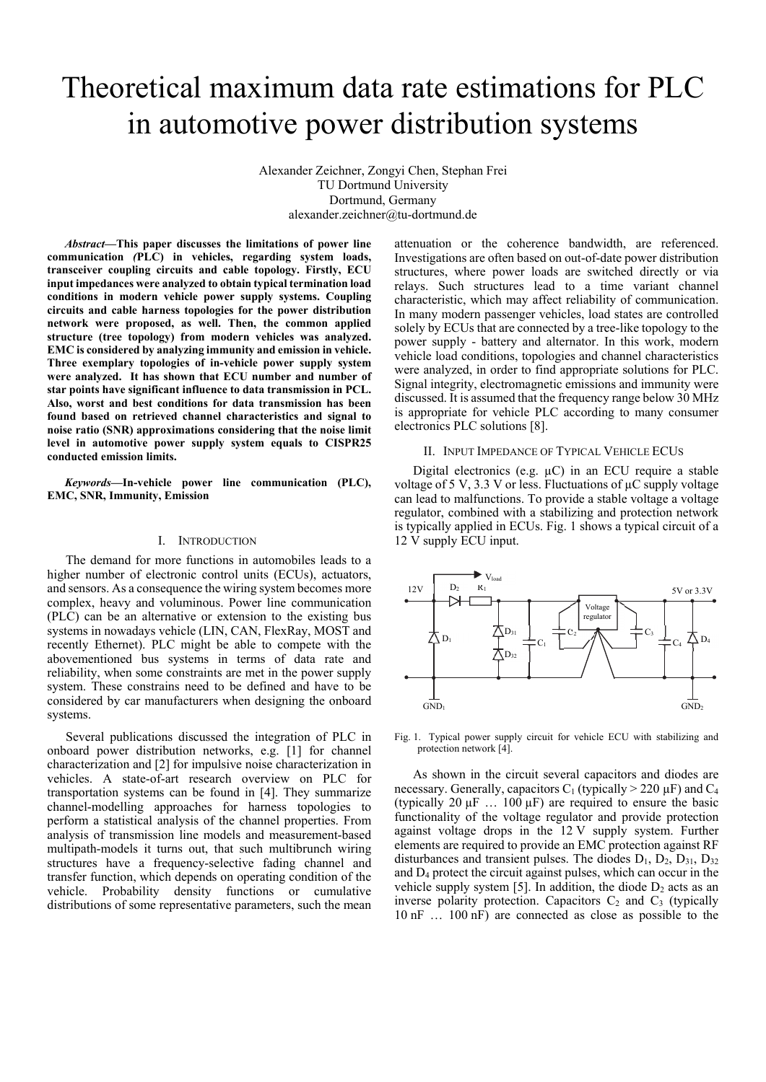# Theoretical maximum data rate estimations for PLC in automotive power distribution systems

Alexander Zeichner, Zongyi Chen, Stephan Frei TU Dortmund University Dortmund, Germany alexander.zeichner@tu-dortmund.de

*Abstract***—This paper discusses the limitations of power line communication** *(***PLC) in vehicles, regarding system loads, transceiver coupling circuits and cable topology. Firstly, ECU input impedances were analyzed to obtain typical termination load conditions in modern vehicle power supply systems. Coupling circuits and cable harness topologies for the power distribution network were proposed, as well. Then, the common applied structure (tree topology) from modern vehicles was analyzed. EMC is considered by analyzing immunity and emission in vehicle. Three exemplary topologies of in-vehicle power supply system were analyzed. It has shown that ECU number and number of star points have significant influence to data transmission in PCL. Also, worst and best conditions for data transmission has been found based on retrieved channel characteristics and signal to noise ratio (SNR) approximations considering that the noise limit level in automotive power supply system equals to CISPR25 conducted emission limits.** 

*Keywords—***In-vehicle power line communication (PLC), EMC, SNR, Immunity, Emission**

# I. INTRODUCTION

The demand for more functions in automobiles leads to a higher number of electronic control units (ECUs), actuators, and sensors. As a consequence the wiring system becomes more complex, heavy and voluminous. Power line communication (PLC) can be an alternative or extension to the existing bus systems in nowadays vehicle (LIN, CAN, FlexRay, MOST and recently Ethernet). PLC might be able to compete with the abovementioned bus systems in terms of data rate and reliability, when some constraints are met in the power supply system. These constrains need to be defined and have to be considered by car manufacturers when designing the onboard systems.

Several publications discussed the integration of PLC in onboard power distribution networks, e.g. [1] for channel characterization and [2] for impulsive noise characterization in vehicles. A state-of-art research overview on PLC for transportation systems can be found in [4]. They summarize channel-modelling approaches for harness topologies to perform a statistical analysis of the channel properties. From analysis of transmission line models and measurement-based multipath-models it turns out, that such multibrunch wiring structures have a frequency-selective fading channel and transfer function, which depends on operating condition of the vehicle. Probability density functions or cumulative distributions of some representative parameters, such the mean

attenuation or the coherence bandwidth, are referenced. Investigations are often based on out-of-date power distribution structures, where power loads are switched directly or via relays. Such structures lead to a time variant channel characteristic, which may affect reliability of communication. In many modern passenger vehicles, load states are controlled solely by ECUs that are connected by a tree-like topology to the power supply - battery and alternator. In this work, modern vehicle load conditions, topologies and channel characteristics were analyzed, in order to find appropriate solutions for PLC. Signal integrity, electromagnetic emissions and immunity were discussed. It is assumed that the frequency range below 30 MHz is appropriate for vehicle PLC according to many consumer electronics PLC solutions [8].

### II. INPUT IMPEDANCE OF TYPICAL VEHICLE ECUS

Digital electronics (e.g.  $\mu$ C) in an ECU require a stable voltage of 5 V, 3.3 V or less. Fluctuations of  $\mu$ C supply voltage can lead to malfunctions. To provide a stable voltage a voltage regulator, combined with a stabilizing and protection network is typically applied in ECUs. Fig. 1 shows a typical circuit of a 12 V supply ECU input.



Fig. 1. Typical power supply circuit for vehicle ECU with stabilizing and protection network [4].

As shown in the circuit several capacitors and diodes are necessary. Generally, capacitors  $C_1$  (typically  $> 220 \mu$ F) and  $C_4$ (typically 20  $\mu$ F ... 100  $\mu$ F) are required to ensure the basic functionality of the voltage regulator and provide protection against voltage drops in the 12 V supply system. Further elements are required to provide an EMC protection against RF disturbances and transient pulses. The diodes  $D_1$ ,  $D_2$ ,  $D_{31}$ ,  $D_{32}$ and D4 protect the circuit against pulses, which can occur in the vehicle supply system [5]. In addition, the diode  $D_2$  acts as an inverse polarity protection. Capacitors  $C_2$  and  $C_3$  (typically 10 nF … 100 nF) are connected as close as possible to the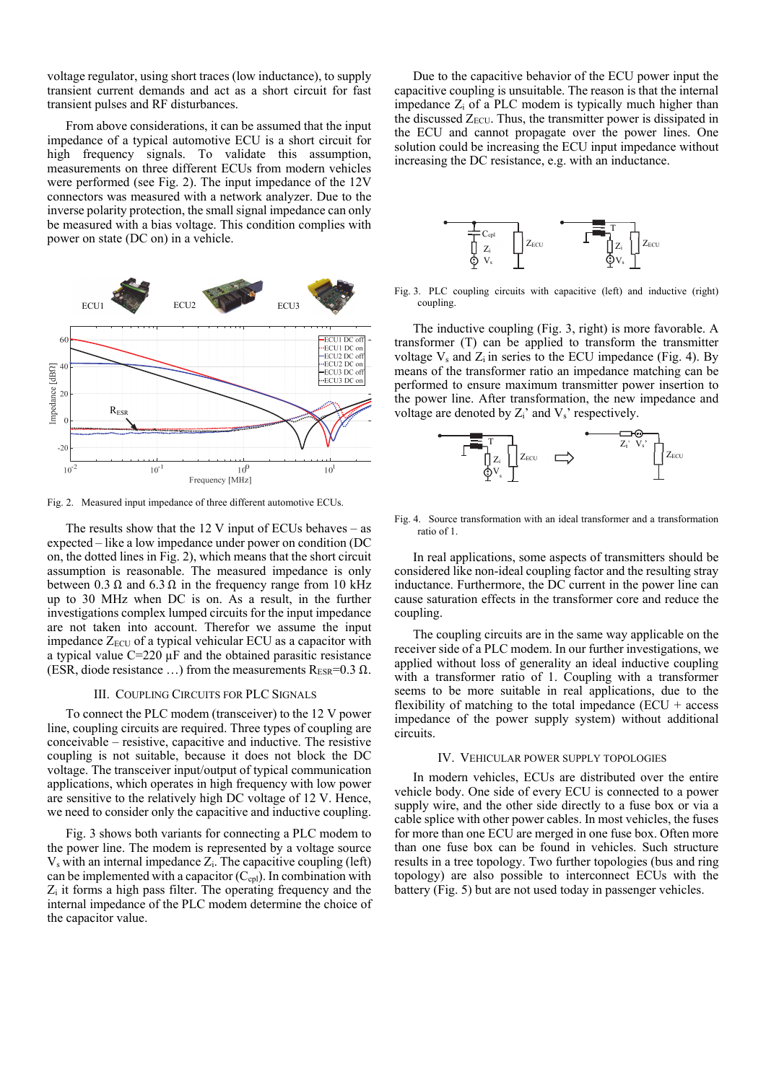voltage regulator, using short traces (low inductance), to supply transient current demands and act as a short circuit for fast transient pulses and RF disturbances.

From above considerations, it can be assumed that the input impedance of a typical automotive ECU is a short circuit for high frequency signals. To validate this assumption, measurements on three different ECUs from modern vehicles were performed (see Fig. 2). The input impedance of the 12V connectors was measured with a network analyzer. Due to the inverse polarity protection, the small signal impedance can only be measured with a bias voltage. This condition complies with power on state (DC on) in a vehicle.



Fig. 2. Measured input impedance of three different automotive ECUs.

The results show that the 12 V input of ECUs behaves – as expected – like a low impedance under power on condition (DC on, the dotted lines in Fig. 2), which means that the short circuit assumption is reasonable. The measured impedance is only between 0.3  $\Omega$  and 6.3  $\Omega$  in the frequency range from 10 kHz up to 30 MHz when DC is on. As a result, in the further investigations complex lumped circuits for the input impedance are not taken into account. Therefor we assume the input impedance  $Z_{\text{ECI}}$  of a typical vehicular ECU as a capacitor with a typical value  $C=220 \mu F$  and the obtained parasitic resistance (ESR, diode resistance ...) from the measurements  $R_{ESR}=0.3 \Omega$ .

#### III. COUPLING CIRCUITS FOR PLC SIGNALS

To connect the PLC modem (transceiver) to the 12 V power line, coupling circuits are required. Three types of coupling are conceivable – resistive, capacitive and inductive. The resistive coupling is not suitable, because it does not block the DC voltage. The transceiver input/output of typical communication applications, which operates in high frequency with low power are sensitive to the relatively high DC voltage of 12 V. Hence, we need to consider only the capacitive and inductive coupling.

Fig. 3 shows both variants for connecting a PLC modem to the power line. The modem is represented by a voltage source  $V_s$  with an internal impedance  $Z_i$ . The capacitive coupling (left) can be implemented with a capacitor  $(C_{\text{cpl}})$ . In combination with  $Z_i$  it forms a high pass filter. The operating frequency and the internal impedance of the PLC modem determine the choice of the capacitor value.

Due to the capacitive behavior of the ECU power input the capacitive coupling is unsuitable. The reason is that the internal impedance  $Z_i$  of a PLC modem is typically much higher than the discussed  $Z_{ECU}$ . Thus, the transmitter power is dissipated in the ECU and cannot propagate over the power lines. One solution could be increasing the ECU input impedance without increasing the DC resistance, e.g. with an inductance.



Fig. 3. PLC coupling circuits with capacitive (left) and inductive (right) coupling.

The inductive coupling (Fig. 3, right) is more favorable. A transformer (T) can be applied to transform the transmitter voltage  $V_s$  and  $Z_i$  in series to the ECU impedance (Fig. 4). By means of the transformer ratio an impedance matching can be performed to ensure maximum transmitter power insertion to the power line. After transformation, the new impedance and voltage are denoted by  $Z_i'$  and  $V_s'$  respectively.



Fig. 4. Source transformation with an ideal transformer and a transformation ratio of 1.

In real applications, some aspects of transmitters should be considered like non-ideal coupling factor and the resulting stray inductance. Furthermore, the DC current in the power line can cause saturation effects in the transformer core and reduce the coupling.

The coupling circuits are in the same way applicable on the receiver side of a PLC modem. In our further investigations, we applied without loss of generality an ideal inductive coupling with a transformer ratio of 1. Coupling with a transformer seems to be more suitable in real applications, due to the flexibility of matching to the total impedance  $(ECU + access$ impedance of the power supply system) without additional circuits.

#### IV. VEHICULAR POWER SUPPLY TOPOLOGIES

In modern vehicles, ECUs are distributed over the entire vehicle body. One side of every ECU is connected to a power supply wire, and the other side directly to a fuse box or via a cable splice with other power cables. In most vehicles, the fuses for more than one ECU are merged in one fuse box. Often more than one fuse box can be found in vehicles. Such structure results in a tree topology. Two further topologies (bus and ring topology) are also possible to interconnect ECUs with the battery (Fig. 5) but are not used today in passenger vehicles.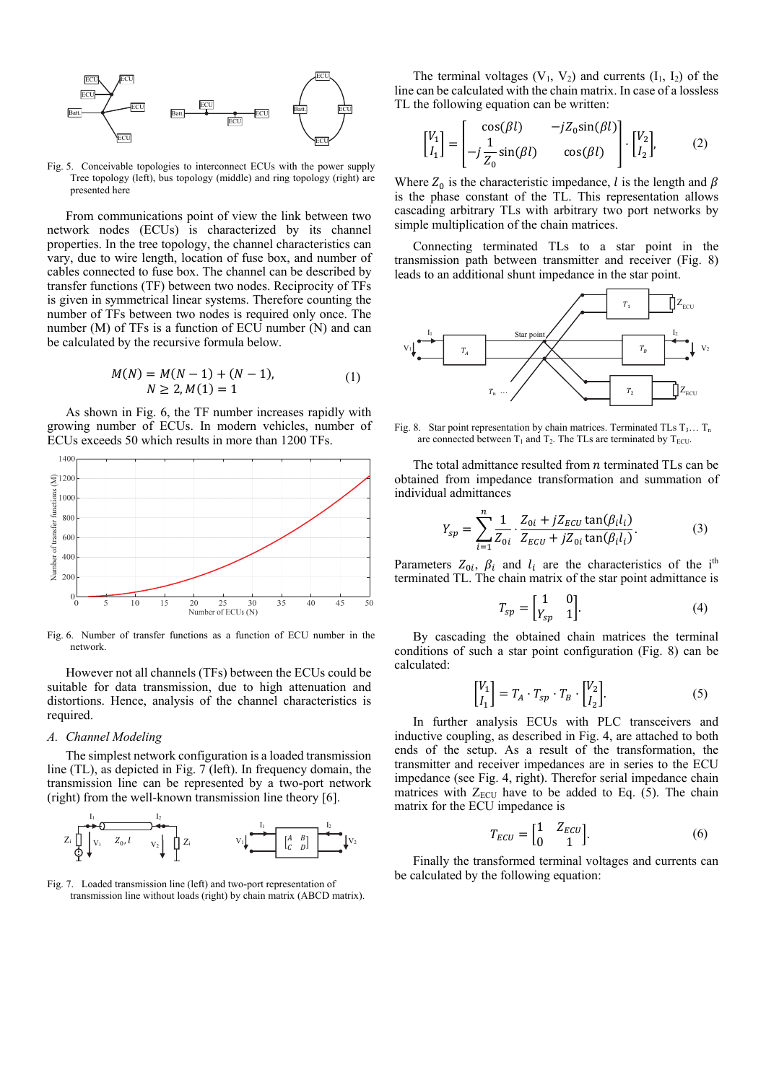

Fig. 5. Conceivable topologies to interconnect ECUs with the power supply Tree topology (left), bus topology (middle) and ring topology (right) are presented here

From communications point of view the link between two network nodes (ECUs) is characterized by its channel properties. In the tree topology, the channel characteristics can vary, due to wire length, location of fuse box, and number of cables connected to fuse box. The channel can be described by transfer functions (TF) between two nodes. Reciprocity of TFs is given in symmetrical linear systems. Therefore counting the number of TFs between two nodes is required only once. The number (M) of TFs is a function of ECU number (N) and can be calculated by the recursive formula below.

$$
M(N) = M(N-1) + (N-1),
$$
  
\n
$$
N \ge 2, M(1) = 1
$$
 (1)

As shown in Fig. 6, the TF number increases rapidly with growing number of ECUs. In modern vehicles, number of ECUs exceeds 50 which results in more than 1200 TFs.



Fig. 6. Number of transfer functions as a function of ECU number in the network.

However not all channels (TFs) between the ECUs could be suitable for data transmission, due to high attenuation and distortions. Hence, analysis of the channel characteristics is required.

#### *A. Channel Modeling*

The simplest network configuration is a loaded transmission line (TL), as depicted in Fig. 7 (left). In frequency domain, the transmission line can be represented by a two-port network (right) from the well-known transmission line theory [6].



Fig. 7. Loaded transmission line (left) and two-port representation of transmission line without loads (right) by chain matrix (ABCD matrix).

The terminal voltages  $(V_1, V_2)$  and currents  $(I_1, I_2)$  of the line can be calculated with the chain matrix. In case of a lossless TL the following equation can be written:

$$
\begin{bmatrix} V_1 \\ I_1 \end{bmatrix} = \begin{bmatrix} \cos(\beta l) & -jZ_0 \sin(\beta l) \\ -j\frac{1}{Z_0} \sin(\beta l) & \cos(\beta l) \end{bmatrix} \cdot \begin{bmatrix} V_2 \\ I_2 \end{bmatrix}, \tag{2}
$$

Where  $Z_0$  is the characteristic impedance, l is the length and  $\beta$ is the phase constant of the TL. This representation allows cascading arbitrary TLs with arbitrary two port networks by simple multiplication of the chain matrices.

Connecting terminated TLs to a star point in the transmission path between transmitter and receiver (Fig. 8) leads to an additional shunt impedance in the star point.



Fig. 8. Star point representation by chain matrices. Terminated TLs  $T_3... T_n$ are connected between  $T_1$  and  $T_2$ . The TLs are terminated by  $T_{ECU}$ .

The total admittance resulted from  $n$  terminated TLs can be obtained from impedance transformation and summation of individual admittances

$$
Y_{sp} = \sum_{i=1}^{n} \frac{1}{Z_{0i}} \cdot \frac{Z_{0i} + jZ_{ECU} \tan(\beta_i l_i)}{Z_{ECU} + jZ_{0i} \tan(\beta_i l_i)}.
$$
 (3)

Parameters  $Z_{0i}$ ,  $\beta_i$  and  $l_i$  are the characteristics of the i<sup>th</sup> terminated TL. The chain matrix of the star point admittance is

$$
T_{sp} = \begin{bmatrix} 1 & 0 \\ Y_{sp} & 1 \end{bmatrix}.
$$
 (4)

By cascading the obtained chain matrices the terminal conditions of such a star point configuration (Fig. 8) can be calculated:

$$
\begin{bmatrix} V_1 \\ I_1 \end{bmatrix} = T_A \cdot T_{sp} \cdot T_B \cdot \begin{bmatrix} V_2 \\ I_2 \end{bmatrix}.
$$
 (5)

In further analysis ECUs with PLC transceivers and inductive coupling, as described in Fig. 4, are attached to both ends of the setup. As a result of the transformation, the transmitter and receiver impedances are in series to the ECU impedance (see Fig. 4, right). Therefor serial impedance chain matrices with  $Z_{ECU}$  have to be added to Eq. (5). The chain matrix for the ECU impedance is

$$
T_{ECU} = \begin{bmatrix} 1 & Z_{ECU} \\ 0 & 1 \end{bmatrix}.
$$
 (6)

Finally the transformed terminal voltages and currents can be calculated by the following equation: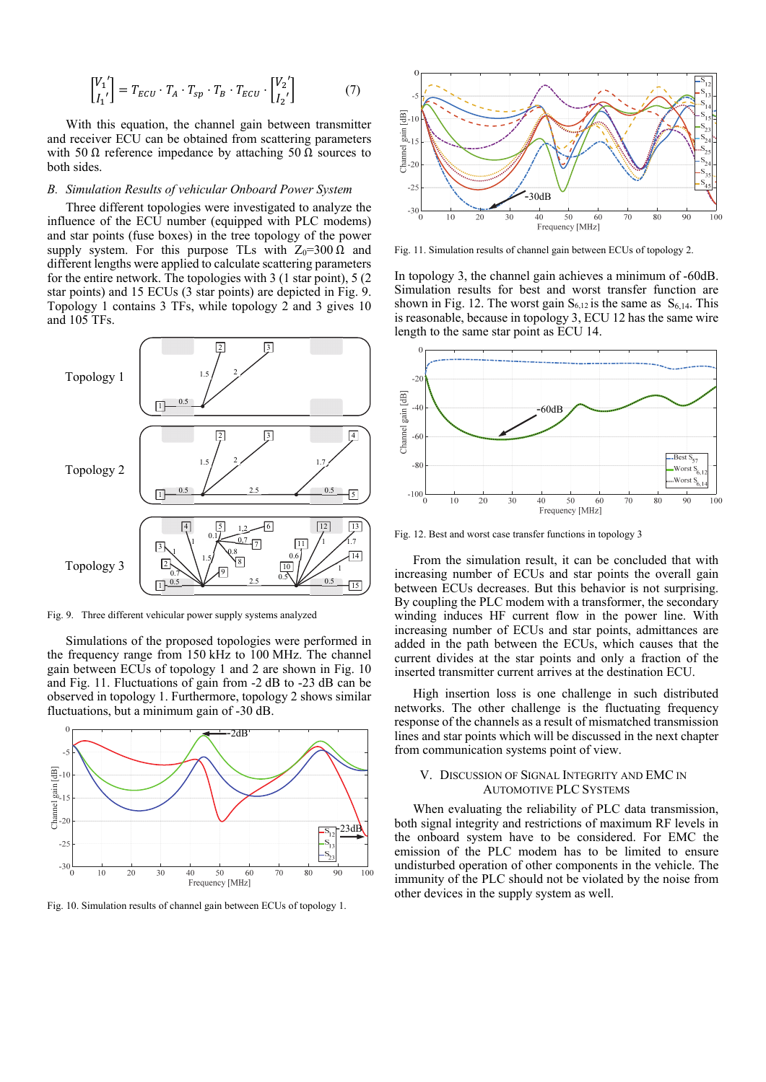$$
\begin{bmatrix} V_1' \\ I_1' \end{bmatrix} = T_{ECU} \cdot T_A \cdot T_{sp} \cdot T_B \cdot T_{ECU} \cdot \begin{bmatrix} V_2' \\ I_2' \end{bmatrix} \tag{7}
$$

With this equation, the channel gain between transmitter and receiver ECU can be obtained from scattering parameters with 50 Ω reference impedance by attaching 50 Ω sources to both sides.

# *B. Simulation Results of vehicular Onboard Power System*

Three different topologies were investigated to analyze the influence of the ECU number (equipped with PLC modems) and star points (fuse boxes) in the tree topology of the power supply system. For this purpose TLs with  $Z_0=300 \Omega$  and different lengths were applied to calculate scattering parameters for the entire network. The topologies with 3 (1 star point), 5 (2 star points) and 15 ECUs (3 star points) are depicted in Fig. 9. Topology 1 contains 3 TFs, while topology 2 and 3 gives 10 and 105 TFs.



Fig. 9. Three different vehicular power supply systems analyzed

Simulations of the proposed topologies were performed in the frequency range from 150 kHz to 100 MHz. The channel gain between ECUs of topology 1 and 2 are shown in Fig. 10 and Fig. 11. Fluctuations of gain from -2 dB to -23 dB can be observed in topology 1. Furthermore, topology 2 shows similar fluctuations, but a minimum gain of -30 dB.



Fig. 10. Simulation results of channel gain between ECUs of topology 1.



Fig. 11. Simulation results of channel gain between ECUs of topology 2.

In topology 3, the channel gain achieves a minimum of -60dB. Simulation results for best and worst transfer function are shown in Fig. 12. The worst gain  $S_{6,12}$  is the same as  $S_{6,14}$ . This is reasonable, because in topology 3, ECU 12 has the same wire length to the same star point as ECU 14.



Fig. 12. Best and worst case transfer functions in topology 3

From the simulation result, it can be concluded that with increasing number of ECUs and star points the overall gain between ECUs decreases. But this behavior is not surprising. By coupling the PLC modem with a transformer, the secondary winding induces HF current flow in the power line. With increasing number of ECUs and star points, admittances are added in the path between the ECUs, which causes that the current divides at the star points and only a fraction of the inserted transmitter current arrives at the destination ECU.

High insertion loss is one challenge in such distributed networks. The other challenge is the fluctuating frequency response of the channels as a result of mismatched transmission lines and star points which will be discussed in the next chapter from communication systems point of view.

# V. DISCUSSION OF SIGNAL INTEGRITY AND EMC IN AUTOMOTIVE PLC SYSTEMS

When evaluating the reliability of PLC data transmission, both signal integrity and restrictions of maximum RF levels in the onboard system have to be considered. For EMC the emission of the PLC modem has to be limited to ensure undisturbed operation of other components in the vehicle. The immunity of the PLC should not be violated by the noise from other devices in the supply system as well.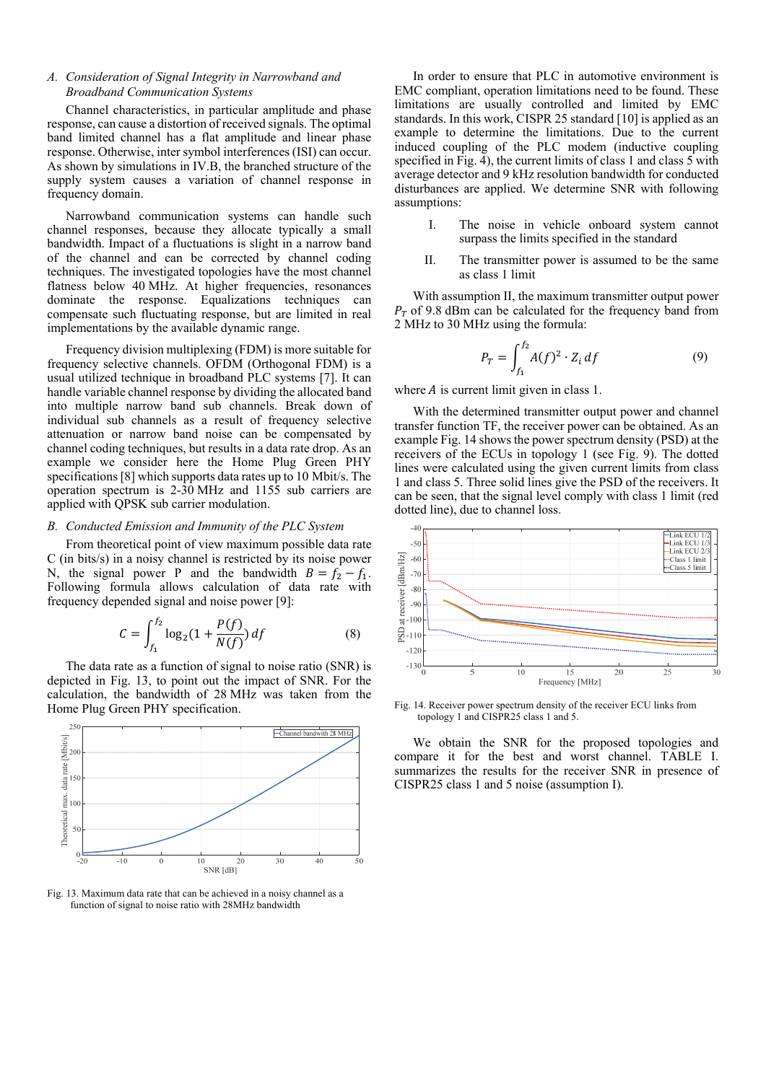# *A. Consideration of Signal Integrity in Narrowband and Broadband Communication Systems*

Channel characteristics, in particular amplitude and phase response, can cause a distortion of received signals. The optimal band limited channel has a flat amplitude and linear phase response. Otherwise, inter symbol interferences (ISI) can occur. As shown by simulations in IV.B, the branched structure of the supply system causes a variation of channel response in frequency domain.

Narrowband communication systems can handle such channel responses, because they allocate typically a small bandwidth. Impact of a fluctuations is slight in a narrow band of the channel and can be corrected by channel coding techniques. The investigated topologies have the most channel flatness below 40 MHz. At higher frequencies, resonances dominate the response. Equalizations techniques can compensate such fluctuating response, but are limited in real implementations by the available dynamic range.

Frequency division multiplexing (FDM) is more suitable for frequency selective channels. OFDM (Orthogonal FDM) is a usual utilized technique in broadband PLC systems [7]. It can handle variable channel response by dividing the allocated band into multiple narrow band sub channels. Break down of individual sub channels as a result of frequency selective attenuation or narrow band noise can be compensated by channel coding techniques, but results in a data rate drop. As an example we consider here the Home Plug Green PHY specifications [8] which supports data rates up to 10 Mbit/s. The operation spectrum is 2-30 MHz and 1155 sub carriers are applied with QPSK sub carrier modulation.

# *B. Conducted Emission and Immunity of the PLC System*

From theoretical point of view maximum possible data rate C (in bits/s) in a noisy channel is restricted by its noise power N, the signal power P and the bandwidth  $B = f_2 - f_1$ . Following formula allows calculation of data rate with frequency depended signal and noise power [9]:

$$
C = \int_{f_1}^{f_2} \log_2(1 + \frac{P(f)}{N(f)}) df
$$
 (8)

The data rate as a function of signal to noise ratio (SNR) is depicted in Fig. 13, to point out the impact of SNR. For the calculation, the bandwidth of 28 MHz was taken from the Home Plug Green PHY specification.



Fig. 13. Maximum data rate that can be achieved in a noisy channel as a function of signal to noise ratio with 28MHz bandwidth

In order to ensure that PLC in automotive environment is EMC compliant, operation limitations need to be found. These limitations are usually controlled and limited by EMC standards. In this work, CISPR 25 standard [10] is applied as an example to determine the limitations. Due to the current induced coupling of the PLC modem (inductive coupling specified in Fig. 4), the current limits of class 1 and class 5 with average detector and 9 kHz resolution bandwidth for conducted disturbances are applied. We determine SNR with following assumptions:

- I. The noise in vehicle onboard system cannot surpass the limits specified in the standard
- II. The transmitter power is assumed to be the same as class 1 limit

With assumption II, the maximum transmitter output power  $P_T$  of 9.8 dBm can be calculated for the frequency band from 2 MHz to 30 MHz using the formula:

$$
P_T = \int_{f_1}^{f_2} A(f)^2 \cdot Z_i \, df \tag{9}
$$

where  $A$  is current limit given in class 1.

 With the determined transmitter output power and channel transfer function TF, the receiver power can be obtained. As an example Fig. 14 shows the power spectrum density (PSD) at the receivers of the ECUs in topology 1 (see Fig. 9). The dotted lines were calculated using the given current limits from class 1 and class 5. Three solid lines give the PSD of the receivers. It can be seen, that the signal level comply with class 1 limit (red dotted line), due to channel loss.



Fig. 14. Receiver power spectrum density of the receiver ECU links from topology 1 and CISPR25 class 1 and 5.

We obtain the SNR for the proposed topologies and compare it for the best and worst channel. TABLE I. summarizes the results for the receiver SNR in presence of CISPR25 class 1 and 5 noise (assumption I).